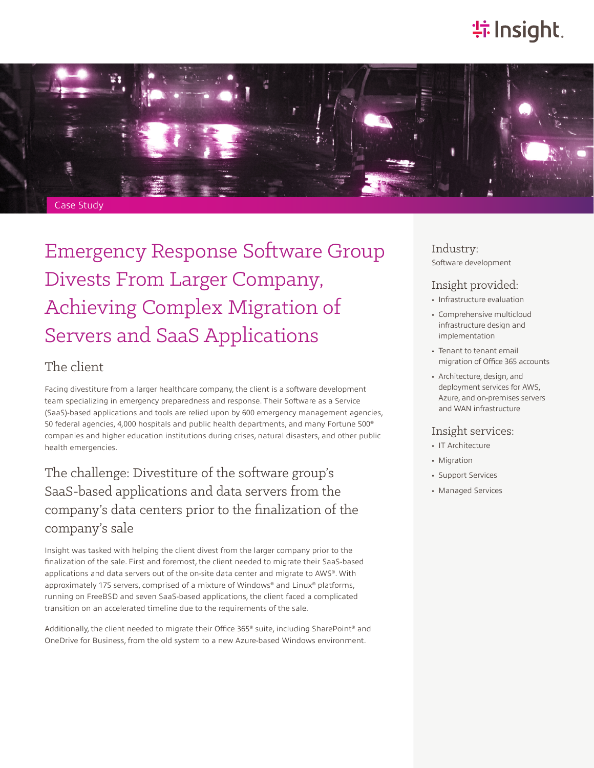# **特Insight**.



Emergency Response Software Group Divests From Larger Company, Achieving Complex Migration of Servers and SaaS Applications

### The client

Facing divestiture from a larger healthcare company, the client is a software development team specializing in emergency preparedness and response. Their Software as a Service (SaaS)-based applications and tools are relied upon by 600 emergency management agencies, 50 federal agencies, 4,000 hospitals and public health departments, and many Fortune 500® companies and higher education institutions during crises, natural disasters, and other public health emergencies.

## The challenge: Divestiture of the software group's SaaS-based applications and data servers from the company's data centers prior to the finalization of the company's sale

Insight was tasked with helping the client divest from the larger company prior to the finalization of the sale. First and foremost, the client needed to migrate their SaaS-based applications and data servers out of the on-site data center and migrate to AWS®. With approximately 175 servers, comprised of a mixture of Windows® and Linux® platforms, running on FreeBSD and seven SaaS-based applications, the client faced a complicated transition on an accelerated timeline due to the requirements of the sale.

Additionally, the client needed to migrate their Office 365® suite, including SharePoint® and OneDrive for Business, from the old system to a new Azure-based Windows environment.

Industry: Software development

#### Insight provided:

- Infrastructure evaluation
- Comprehensive multicloud infrastructure design and implementation
- Tenant to tenant email migration of Office 365 accounts
- Architecture, design, and deployment services for AWS, Azure, and on-premises servers and WAN infrastructure

#### Insight services:

- IT Architecture
- Migration
- Support Services
- Managed Services